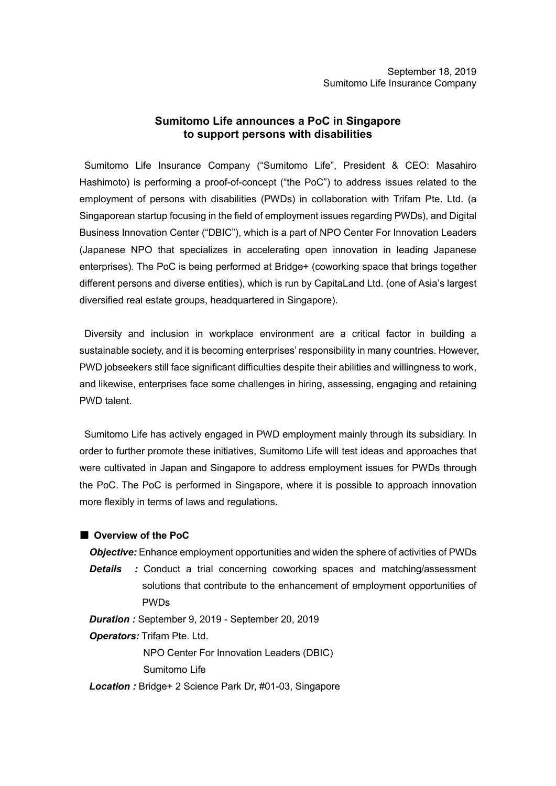# **Sumitomo Life announces a PoC in Singapore to support persons with disabilities**

Sumitomo Life Insurance Company ("Sumitomo Life", President & CEO: Masahiro Hashimoto) is performing a proof-of-concept ("the PoC") to address issues related to the employment of persons with disabilities (PWDs) in collaboration with Trifam Pte. Ltd. (a Singaporean startup focusing in the field of employment issues regarding PWDs), and Digital Business Innovation Center ("DBIC"), which is a part of NPO Center For Innovation Leaders (Japanese NPO that specializes in accelerating open innovation in leading Japanese enterprises). The PoC is being performed at Bridge+ (coworking space that brings together different persons and diverse entities), which is run by CapitaLand Ltd. (one of Asia's largest diversified real estate groups, headquartered in Singapore).

Diversity and inclusion in workplace environment are a critical factor in building a sustainable society, and it is becoming enterprises' responsibility in many countries. However, PWD jobseekers still face significant difficulties despite their abilities and willingness to work, and likewise, enterprises face some challenges in hiring, assessing, engaging and retaining PWD talent.

Sumitomo Life has actively engaged in PWD employment mainly through its subsidiary. In order to further promote these initiatives, Sumitomo Life will test ideas and approaches that were cultivated in Japan and Singapore to address employment issues for PWDs through the PoC. The PoC is performed in Singapore, where it is possible to approach innovation more flexibly in terms of laws and regulations.

# ■ **Overview of the PoC**

*Objective:* Enhance employment opportunities and widen the sphere of activities of PWDs **Details** : Conduct a trial concerning coworking spaces and matching/assessment solutions that contribute to the enhancement of employment opportunities of PWDs

*Duration :* September 9, 2019 - September 20, 2019

*Operators:* Trifam Pte. Ltd.

NPO Center For Innovation Leaders (DBIC)

Sumitomo Life

*Location :* Bridge+ 2 Science Park Dr, #01-03, Singapore